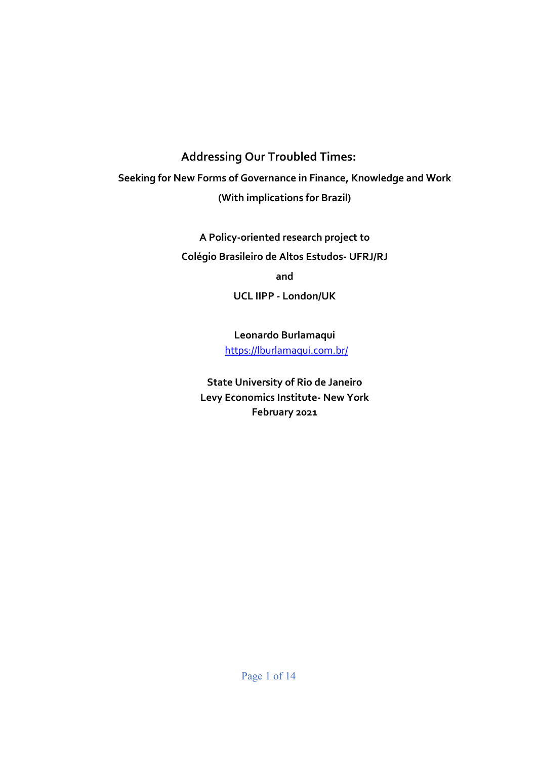# **Addressing Our Troubled Times:**

**Seeking for New Forms of Governance in Finance, Knowledge and Work (With implications for Brazil)** 

> **A Policy-oriented research project to Colégio Brasileiro de Altos Estudos- UFRJ/RJ and**

> > **UCL IIPP - London/UK**

**Leonardo Burlamaqui**  https://lburlamaqui.com.br/

**State University of Rio de Janeiro Levy Economics Institute- New York February 2021**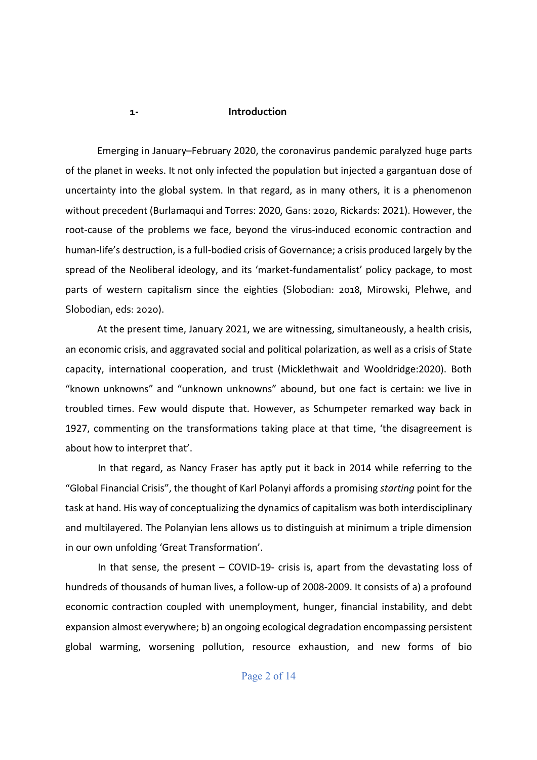#### **1- Introduction**

Emerging in January–February 2020, the coronavirus pandemic paralyzed huge parts of the planet in weeks. It not only infected the population but injected a gargantuan dose of uncertainty into the global system. In that regard, as in many others, it is a phenomenon without precedent (Burlamaqui and Torres: 2020, Gans: 2020, Rickards: 2021). However, the root-cause of the problems we face, beyond the virus-induced economic contraction and human-life's destruction, is a full-bodied crisis of Governance; a crisis produced largely by the spread of the Neoliberal ideology, and its 'market-fundamentalist' policy package, to most parts of western capitalism since the eighties (Slobodian: 2018, Mirowski, Plehwe, and Slobodian, eds: 2020).

At the present time, January 2021, we are witnessing, simultaneously, a health crisis, an economic crisis, and aggravated social and political polarization, as well as a crisis of State capacity, international cooperation, and trust (Micklethwait and Wooldridge:2020). Both "known unknowns" and "unknown unknowns" abound, but one fact is certain: we live in troubled times. Few would dispute that. However, as Schumpeter remarked way back in 1927, commenting on the transformations taking place at that time, 'the disagreement is about how to interpret that'.

In that regard, as Nancy Fraser has aptly put it back in 2014 while referring to the "Global Financial Crisis", the thought of Karl Polanyi affords a promising *starting* point for the task at hand. His way of conceptualizing the dynamics of capitalism was both interdisciplinary and multilayered. The Polanyian lens allows us to distinguish at minimum a triple dimension in our own unfolding 'Great Transformation'.

In that sense, the present – COVID-19- crisis is, apart from the devastating loss of hundreds of thousands of human lives, a follow-up of 2008-2009. It consists of a) a profound economic contraction coupled with unemployment, hunger, financial instability, and debt expansion almost everywhere; b) an ongoing ecological degradation encompassing persistent global warming, worsening pollution, resource exhaustion, and new forms of bio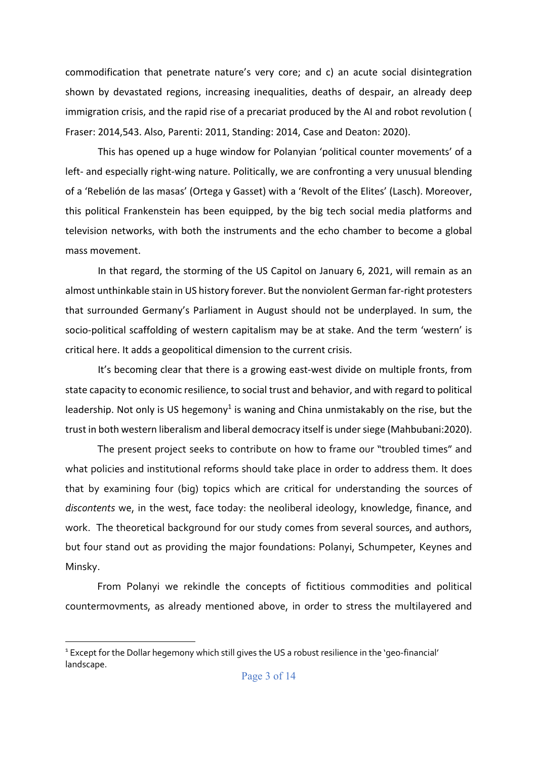commodification that penetrate nature's very core; and c) an acute social disintegration shown by devastated regions, increasing inequalities, deaths of despair, an already deep immigration crisis, and the rapid rise of a precariat produced by the AI and robot revolution ( Fraser: 2014,543. Also, Parenti: 2011, Standing: 2014, Case and Deaton: 2020).

This has opened up a huge window for Polanyian 'political counter movements' of a left- and especially right-wing nature. Politically, we are confronting a very unusual blending of a 'Rebelión de las masas' (Ortega y Gasset) with a 'Revolt of the Elites' (Lasch). Moreover, this political Frankenstein has been equipped, by the big tech social media platforms and television networks, with both the instruments and the echo chamber to become a global mass movement.

In that regard, the storming of the US Capitol on January 6, 2021, will remain as an almost unthinkable stain in US history forever. But the nonviolent German far-right protesters that surrounded Germany's Parliament in August should not be underplayed. In sum, the socio-political scaffolding of western capitalism may be at stake. And the term 'western' is critical here. It adds a geopolitical dimension to the current crisis.

It's becoming clear that there is a growing east-west divide on multiple fronts, from state capacity to economic resilience, to social trust and behavior, and with regard to political leadership. Not only is US hegemony<sup>1</sup> is waning and China unmistakably on the rise, but the trust in both western liberalism and liberal democracy itself is under siege (Mahbubani:2020).

The present project seeks to contribute on how to frame our "troubled times" and what policies and institutional reforms should take place in order to address them. It does that by examining four (big) topics which are critical for understanding the sources of *discontents* we, in the west, face today: the neoliberal ideology, knowledge, finance, and work. The theoretical background for our study comes from several sources, and authors, but four stand out as providing the major foundations: Polanyi, Schumpeter, Keynes and Minsky.

From Polanyi we rekindle the concepts of fictitious commodities and political countermovments, as already mentioned above, in order to stress the multilayered and

<sup>&</sup>lt;sup>1</sup> Except for the Dollar hegemony which still gives the US a robust resilience in the 'geo-financial' landscape.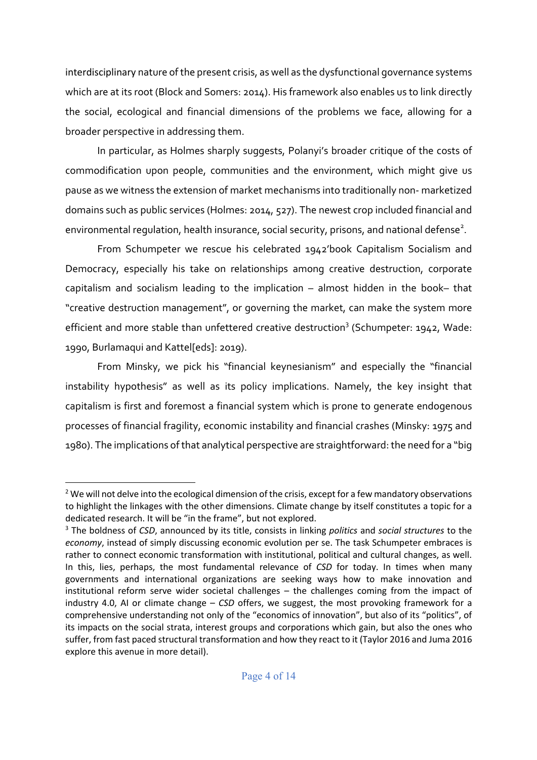interdisciplinary nature of the present crisis, as well as the dysfunctional governance systems which are at its root (Block and Somers: 2014). His framework also enables us to link directly the social, ecological and financial dimensions of the problems we face, allowing for a broader perspective in addressing them.

In particular, as Holmes sharply suggests, Polanyi's broader critique of the costs of commodification upon people, communities and the environment, which might give us pause as we witness the extension of market mechanisms into traditionally non- marketized domains such as public services (Holmes: 2014, 527). The newest crop included financial and environmental regulation, health insurance, social security, prisons, and national defense<sup>2</sup>.

From Schumpeter we rescue his celebrated 1942'book Capitalism Socialism and Democracy, especially his take on relationships among creative destruction, corporate capitalism and socialism leading to the implication – almost hidden in the book– that "creative destruction management", or governing the market, can make the system more efficient and more stable than unfettered creative destruction<sup>3</sup> (Schumpeter: 1942, Wade: 1990, Burlamaqui and Kattel[eds]: 2019).

From Minsky, we pick his "financial keynesianism" and especially the "financial instability hypothesis" as well as its policy implications. Namely, the key insight that capitalism is first and foremost a financial system which is prone to generate endogenous processes of financial fragility, economic instability and financial crashes (Minsky: 1975 and 1980). The implications of that analytical perspective are straightforward: the need for a "big

<sup>&</sup>lt;sup>2</sup> We will not delve into the ecological dimension of the crisis, except for a few mandatory observations to highlight the linkages with the other dimensions. Climate change by itself constitutes a topic for a dedicated research. It will be "in the frame", but not explored. 3 The boldness of *CSD*, announced by its title, consists in linking *politics* and *social structures* to the

*economy*, instead of simply discussing economic evolution per se. The task Schumpeter embraces is rather to connect economic transformation with institutional, political and cultural changes, as well. In this, lies, perhaps, the most fundamental relevance of *CSD* for today. In times when many governments and international organizations are seeking ways how to make innovation and institutional reform serve wider societal challenges – the challenges coming from the impact of industry 4.0, AI or climate change – *CSD* offers, we suggest, the most provoking framework for a comprehensive understanding not only of the "economics of innovation", but also of its "politics", of its impacts on the social strata, interest groups and corporations which gain, but also the ones who suffer, from fast paced structural transformation and how they react to it (Taylor 2016 and Juma 2016 explore this avenue in more detail).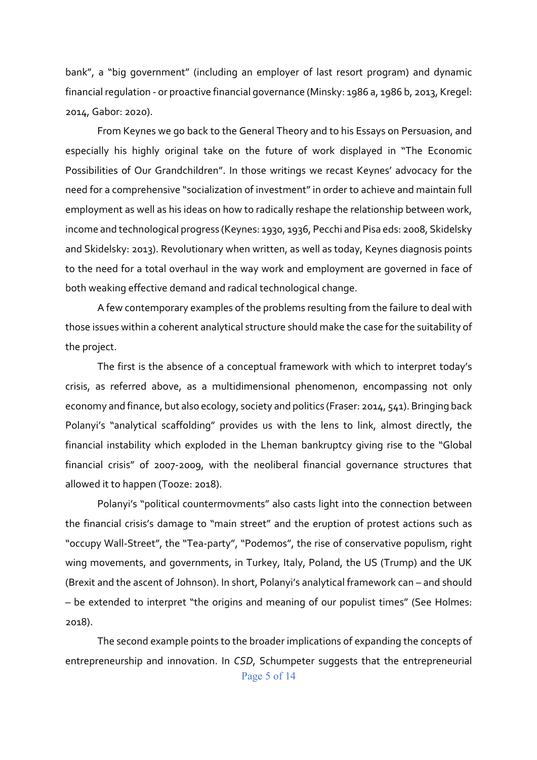bank", a "big government" (including an employer of last resort program) and dynamic financial regulation - or proactive financial governance (Minsky: 1986 a, 1986 b, 2013, Kregel: 2014, Gabor: 2020).

From Keynes we go back to the General Theory and to his Essays on Persuasion, and especially his highly original take on the future of work displayed in "The Economic Possibilities of Our Grandchildren". In those writings we recast Keynes' advocacy for the need for a comprehensive "socialization of investment" in order to achieve and maintain full employment as well as his ideas on how to radically reshape the relationship between work, income and technological progress (Keynes: 1930, 1936, Pecchi and Pisa eds: 2008, Skidelsky and Skidelsky: 2013). Revolutionary when written, as well as today, Keynes diagnosis points to the need for a total overhaul in the way work and employment are governed in face of both weaking effective demand and radical technological change.

A few contemporary examples of the problems resulting from the failure to deal with those issues within a coherent analytical structure should make the case for the suitability of the project.

The first is the absence of a conceptual framework with which to interpret today's crisis, as referred above, as a multidimensional phenomenon, encompassing not only economy and finance, but also ecology, society and politics (Fraser: 2014, 541). Bringing back Polanyi's "analytical scaffolding" provides us with the lens to link, almost directly, the financial instability which exploded in the Lheman bankruptcy giving rise to the "Global financial crisis" of 2007-2009, with the neoliberal financial governance structures that allowed it to happen (Tooze: 2018).

Polanyi's "political countermovments" also casts light into the connection between the financial crisis's damage to "main street" and the eruption of protest actions such as "occupy Wall-Street", the "Tea-party", "Podemos", the rise of conservative populism, right wing movements, and governments, in Turkey, Italy, Poland, the US (Trump) and the UK (Brexit and the ascent of Johnson). In short, Polanyi's analytical framework can – and should – be extended to interpret "the origins and meaning of our populist times" (See Holmes: 2018).

Page 5 of 14 The second example points to the broader implications of expanding the concepts of entrepreneurship and innovation. In *CSD*, Schumpeter suggests that the entrepreneurial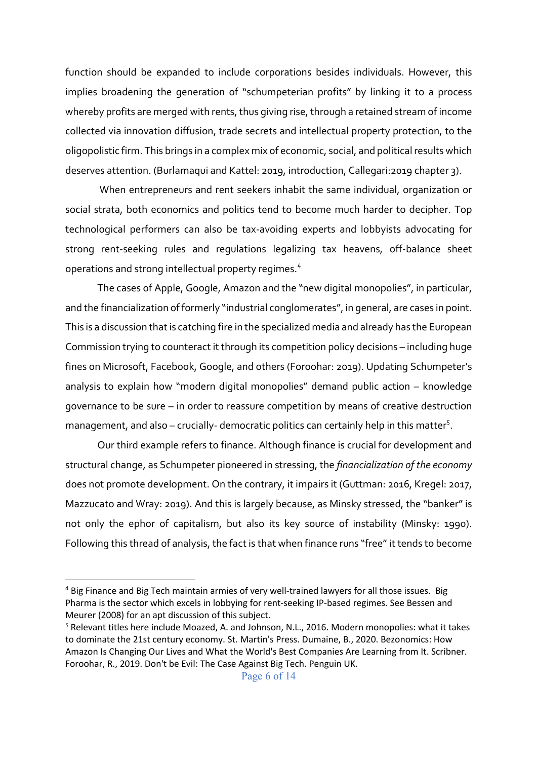function should be expanded to include corporations besides individuals. However, this implies broadening the generation of "schumpeterian profits" by linking it to a process whereby profits are merged with rents, thus giving rise, through a retained stream of income collected via innovation diffusion, trade secrets and intellectual property protection, to the oligopolistic firm. This brings in a complex mix of economic, social, and political results which deserves attention. (Burlamaqui and Kattel: 2019, introduction, Callegari:2019 chapter 3).

When entrepreneurs and rent seekers inhabit the same individual, organization or social strata, both economics and politics tend to become much harder to decipher. Top technological performers can also be tax-avoiding experts and lobbyists advocating for strong rent-seeking rules and regulations legalizing tax heavens, off-balance sheet operations and strong intellectual property regimes.<sup>4</sup>

The cases of Apple, Google, Amazon and the "new digital monopolies", in particular, and the financialization of formerly "industrial conglomerates", in general, are cases in point. This is a discussion that is catching fire in the specialized media and already has the European Commission trying to counteract it through its competition policy decisions – including huge fines on Microsoft, Facebook, Google, and others (Foroohar: 2019). Updating Schumpeter's analysis to explain how "modern digital monopolies" demand public action – knowledge governance to be sure – in order to reassure competition by means of creative destruction management, and also – crucially- democratic politics can certainly help in this matter<sup>s</sup>.

Our third example refers to finance. Although finance is crucial for development and structural change, as Schumpeter pioneered in stressing, the *financialization of the economy* does not promote development. On the contrary, it impairs it (Guttman: 2016, Kregel: 2017, Mazzucato and Wray: 2019). And this is largely because, as Minsky stressed, the "banker" is not only the ephor of capitalism, but also its key source of instability (Minsky: 1990). Following this thread of analysis, the fact is that when finance runs "free" it tends to become

<sup>&</sup>lt;sup>4</sup> Big Finance and Big Tech maintain armies of very well-trained lawyers for all those issues. Big Pharma is the sector which excels in lobbying for rent-seeking IP-based regimes. See Bessen and Meurer (2008) for an apt discussion of this subject.

 $5$  Relevant titles here include Moazed, A. and Johnson, N.L., 2016. Modern monopolies: what it takes to dominate the 21st century economy. St. Martin's Press. Dumaine, B., 2020. Bezonomics: How Amazon Is Changing Our Lives and What the World's Best Companies Are Learning from It. Scribner. Foroohar, R., 2019. Don't be Evil: The Case Against Big Tech. Penguin UK.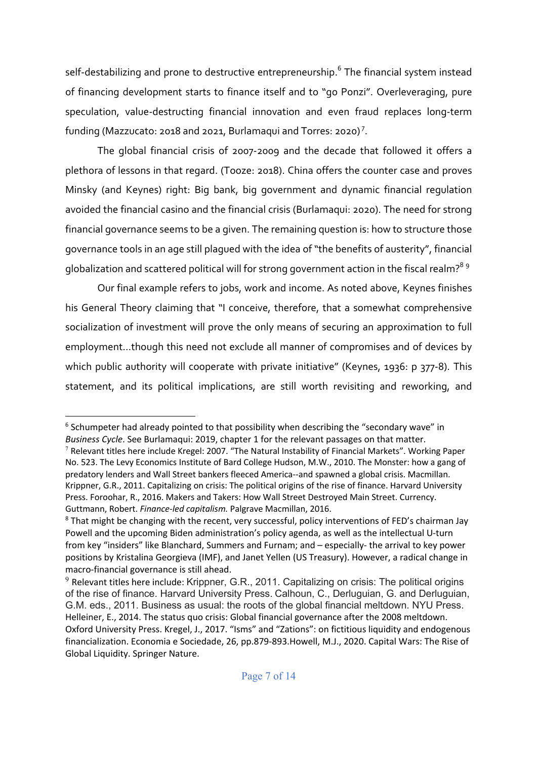self-destabilizing and prone to destructive entrepreneurship.<sup>6</sup> The financial system instead of financing development starts to finance itself and to "go Ponzi". Overleveraging, pure speculation, value-destructing financial innovation and even fraud replaces long-term funding (Mazzucato: 2018 and 2021, Burlamaqui and Torres: 2020)<sup>7</sup>.

The global financial crisis of 2007-2009 and the decade that followed it offers a plethora of lessons in that regard. (Tooze: 2018). China offers the counter case and proves Minsky (and Keynes) right: Big bank, big government and dynamic financial regulation avoided the financial casino and the financial crisis (Burlamaqui: 2020). The need for strong financial governance seems to be a given. The remaining question is: how to structure those governance tools in an age still plagued with the idea of "the benefits of austerity", financial globalization and scattered political will for strong government action in the fiscal realm?<sup>89</sup>

Our final example refers to jobs, work and income. As noted above, Keynes finishes his General Theory claiming that "I conceive, therefore, that a somewhat comprehensive socialization of investment will prove the only means of securing an approximation to full employment…though this need not exclude all manner of compromises and of devices by which public authority will cooperate with private initiative" (Keynes, 1936: p 377-8). This statement, and its political implications, are still worth revisiting and reworking, and

<sup>&</sup>lt;sup>6</sup> Schumpeter had already pointed to that possibility when describing the "secondary wave" in *Business Cycle*. See Burlamaqui: 2019, chapter 1 for the relevant passages on that matter.

 $7$  Relevant titles here include Kregel: 2007. "The Natural Instability of Financial Markets". Working Paper No. 523. The Levy Economics Institute of Bard College Hudson, M.W., 2010. The Monster: how a gang of predatory lenders and Wall Street bankers fleeced America--and spawned a global crisis. Macmillan. Krippner, G.R., 2011. Capitalizing on crisis: The political origins of the rise of finance. Harvard University Press. Foroohar, R., 2016. Makers and Takers: How Wall Street Destroyed Main Street. Currency. Guttmann, Robert. *Finance-led capitalism.* Palgrave Macmillan, 2016.

<sup>&</sup>lt;sup>8</sup> That might be changing with the recent, very successful, policy interventions of FED's chairman Jay Powell and the upcoming Biden administration's policy agenda, as well as the intellectual U-turn from key "insiders" like Blanchard, Summers and Furnam; and – especially- the arrival to key power positions by Kristalina Georgieva (IMF), and Janet Yellen (US Treasury). However, a radical change in macro-financial governance is still ahead.

 $9$  Relevant titles here include: Krippner, G.R., 2011. Capitalizing on crisis: The political origins of the rise of finance. Harvard University Press. Calhoun, C., Derluguian, G. and Derluguian, G.M. eds., 2011. Business as usual: the roots of the global financial meltdown. NYU Press. Helleiner, E., 2014. The status quo crisis: Global financial governance after the 2008 meltdown. Oxford University Press. Kregel, J., 2017. "Isms" and "Zations": on fictitious liquidity and endogenous financialization. Economia e Sociedade, 26, pp.879-893.Howell, M.J., 2020. Capital Wars: The Rise of Global Liquidity. Springer Nature.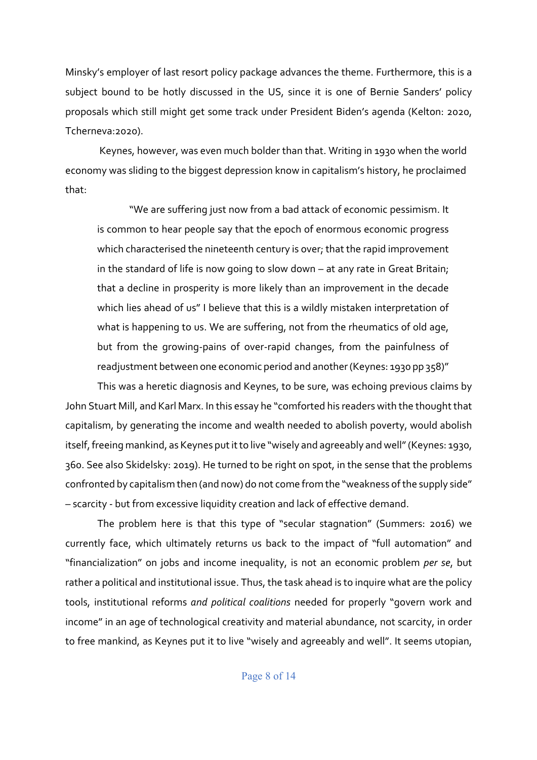Minsky's employer of last resort policy package advances the theme. Furthermore, this is a subject bound to be hotly discussed in the US, since it is one of Bernie Sanders' policy proposals which still might get some track under President Biden's agenda (Kelton: 2020, Tcherneva:2020).

Keynes, however, was even much bolder than that. Writing in 1930 when the world economy was sliding to the biggest depression know in capitalism's history, he proclaimed that:

"We are suffering just now from a bad attack of economic pessimism. It is common to hear people say that the epoch of enormous economic progress which characterised the nineteenth century is over; that the rapid improvement in the standard of life is now going to slow down – at any rate in Great Britain; that a decline in prosperity is more likely than an improvement in the decade which lies ahead of us" I believe that this is a wildly mistaken interpretation of what is happening to us. We are suffering, not from the rheumatics of old age, but from the growing-pains of over-rapid changes, from the painfulness of readjustment between one economic period and another(Keynes: 1930 pp 358)"

This was a heretic diagnosis and Keynes, to be sure, was echoing previous claims by John Stuart Mill, and Karl Marx. In this essay he "comforted his readers with the thought that capitalism, by generating the income and wealth needed to abolish poverty, would abolish itself, freeing mankind, as Keynes put it to live "wisely and agreeably and well" (Keynes: 1930, 360. See also Skidelsky: 2019). He turned to be right on spot, in the sense that the problems confronted by capitalism then (and now) do not come from the "weakness of the supply side" – scarcity - but from excessive liquidity creation and lack of effective demand.

The problem here is that this type of "secular stagnation" (Summers: 2016) we currently face, which ultimately returns us back to the impact of "full automation" and "financialization" on jobs and income inequality, is not an economic problem *per se*, but rather a political and institutional issue. Thus, the task ahead is to inquire what are the policy tools, institutional reforms *and political coalitions* needed for properly "govern work and income" in an age of technological creativity and material abundance, not scarcity, in order to free mankind, as Keynes put it to live "wisely and agreeably and well". It seems utopian,

#### Page 8 of 14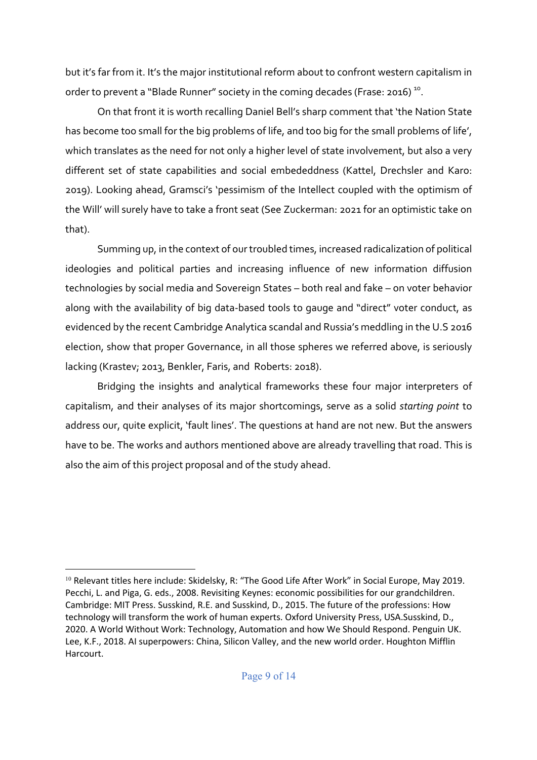but it's far from it. It's the major institutional reform about to confront western capitalism in order to prevent a "Blade Runner" society in the coming decades (Frase: 2016)<sup>10</sup>.

On that front it is worth recalling Daniel Bell's sharp comment that 'the Nation State has become too small for the big problems of life, and too big for the small problems of life', which translates as the need for not only a higher level of state involvement, but also a very different set of state capabilities and social embededdness (Kattel, Drechsler and Karo: 2019). Looking ahead, Gramsci's 'pessimism of the Intellect coupled with the optimism of the Will' will surely have to take a front seat (See Zuckerman: 2021 for an optimistic take on that).

Summing up, in the context of our troubled times, increased radicalization of political ideologies and political parties and increasing influence of new information diffusion technologies by social media and Sovereign States – both real and fake – on voter behavior along with the availability of big data-based tools to gauge and "direct" voter conduct, as evidenced by the recent Cambridge Analytica scandal and Russia's meddling in the U.S 2016 election, show that proper Governance, in all those spheres we referred above, is seriously lacking (Krastev; 2013, Benkler, Faris, and Roberts: 2018).

Bridging the insights and analytical frameworks these four major interpreters of capitalism, and their analyses of its major shortcomings, serve as a solid *starting point* to address our, quite explicit, 'fault lines'. The questions at hand are not new. But the answers have to be. The works and authors mentioned above are already travelling that road. This is also the aim of this project proposal and of the study ahead.

<sup>&</sup>lt;sup>10</sup> Relevant titles here include: Skidelsky, R: "The Good Life After Work" in Social Europe, May 2019. Pecchi, L. and Piga, G. eds., 2008. Revisiting Keynes: economic possibilities for our grandchildren. Cambridge: MIT Press. Susskind, R.E. and Susskind, D., 2015. The future of the professions: How technology will transform the work of human experts. Oxford University Press, USA.Susskind, D., 2020. A World Without Work: Technology, Automation and how We Should Respond. Penguin UK. Lee, K.F., 2018. AI superpowers: China, Silicon Valley, and the new world order. Houghton Mifflin Harcourt.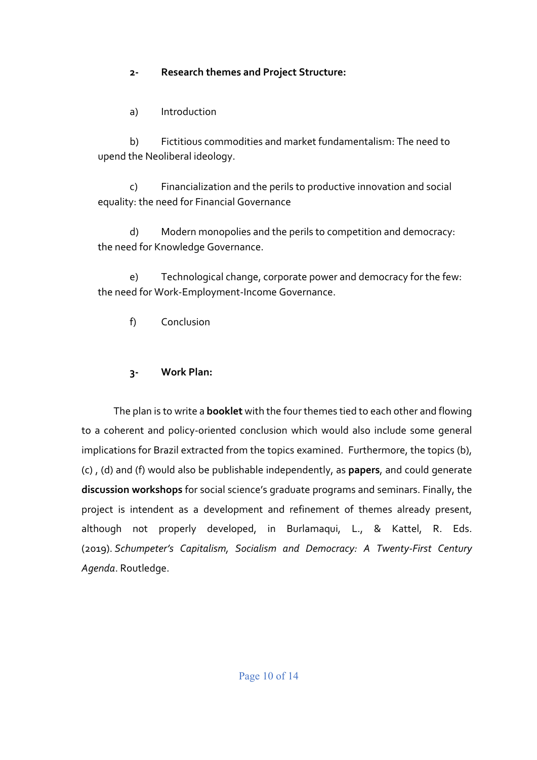## **2- Research themes and Project Structure:**

a) Introduction

b) Fictitious commodities and market fundamentalism: The need to upend the Neoliberal ideology.

c) Financialization and the perils to productive innovation and social equality: the need for Financial Governance

d) Modern monopolies and the perils to competition and democracy: the need for Knowledge Governance.

e) Technological change, corporate power and democracy for the few: the need for Work-Employment-Income Governance.

f) Conclusion

# **3- Work Plan:**

The plan is to write a **booklet** with the four themes tied to each other and flowing to a coherent and policy-oriented conclusion which would also include some general implications for Brazil extracted from the topics examined. Furthermore, the topics (b), (c) , (d) and (f) would also be publishable independently, as **papers**, and could generate **discussion workshops** for social science's graduate programs and seminars. Finally, the project is intendent as a development and refinement of themes already present, although not properly developed, in Burlamaqui, L., & Kattel, R. Eds. (2019). *Schumpeter's Capitalism, Socialism and Democracy: A Twenty-First Century Agenda*. Routledge.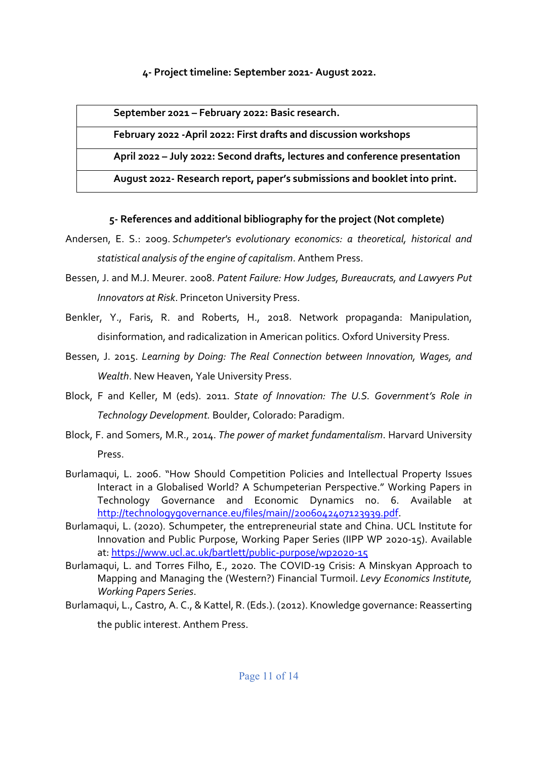#### **4- Project timeline: September 2021- August 2022.**

**September 2021 – February 2022: Basic research.**

**February 2022 -April 2022: First drafts and discussion workshops**

**April 2022 – July 2022: Second drafts, lectures and conference presentation**

**August 2022- Research report, paper's submissions and booklet into print.**

## **5- References and additional bibliography for the project (Not complete)**

- Andersen, E. S.: 2009. *Schumpeter's evolutionary economics: a theoretical, historical and statistical analysis of the engine of capitalism*. Anthem Press.
- Bessen, J. and M.J. Meurer. 2008. *Patent Failure: How Judges, Bureaucrats, and Lawyers Put Innovators at Risk*. Princeton University Press.
- Benkler, Y., Faris, R. and Roberts, H., 2018. Network propaganda: Manipulation, disinformation, and radicalization in American politics. Oxford University Press.
- Bessen, J. 2015. *Learning by Doing: The Real Connection between Innovation, Wages, and Wealth*. New Heaven, Yale University Press.
- Block, F and Keller, M (eds). 2011. *State of Innovation: The U.S. Government's Role in Technology Development.* Boulder, Colorado: Paradigm.
- Block, F. and Somers, M.R., 2014. *The power of market fundamentalism*. Harvard University Press.
- Burlamaqui, L. 2006. "How Should Competition Policies and Intellectual Property Issues Interact in a Globalised World? A Schumpeterian Perspective." Working Papers in Technology Governance and Economic Dynamics no. 6. Available at http://technologygovernance.eu/files/main//2006042407123939.pdf.
- Burlamaqui, L. (2020). Schumpeter, the entrepreneurial state and China. UCL Institute for Innovation and Public Purpose, Working Paper Series (IIPP WP 2020-15). Available at: https://www.ucl.ac.uk/bartlett/public-purpose/wp2020-15
- Burlamaqui, L. and Torres Filho, E., 2020. The COVID-19 Crisis: A Minskyan Approach to Mapping and Managing the (Western?) Financial Turmoil. *Levy Economics Institute, Working Papers Series*.
- Burlamaqui, L., Castro, A. C., & Kattel, R. (Eds.). (2012). Knowledge governance: Reasserting the public interest. Anthem Press.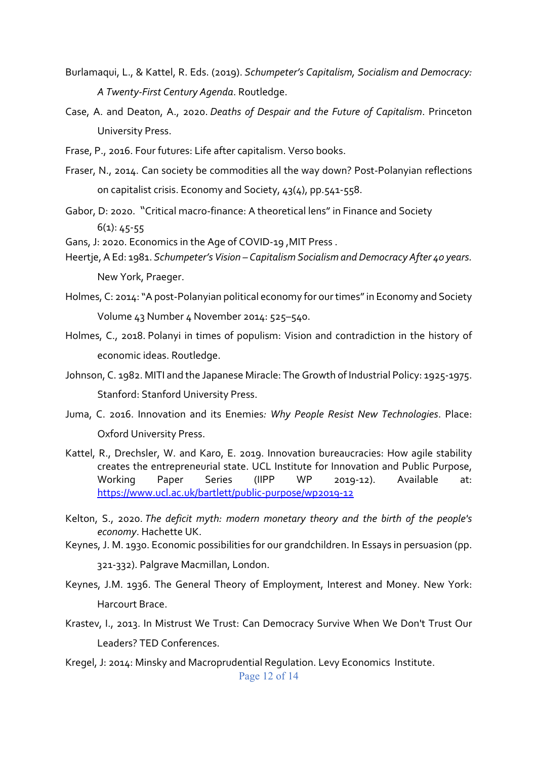- Burlamaqui, L., & Kattel, R. Eds. (2019). *Schumpeter's Capitalism, Socialism and Democracy: A Twenty-First Century Agenda*. Routledge.
- Case, A. and Deaton, A., 2020. *Deaths of Despair and the Future of Capitalism*. Princeton University Press.
- Frase, P., 2016. Four futures: Life after capitalism. Verso books.
- Fraser, N., 2014. Can society be commodities all the way down? Post-Polanyian reflections on capitalist crisis. Economy and Society, 43(4), pp.541-558.
- Gabor, D: 2020. "Critical macro-finance: A theoretical lens" in Finance and Society  $6(1): 45-55$
- Gans, J: 2020. Economics in the Age of COVID-19 ,MIT Press .
- Heertje, A Ed: 1981. *Schumpeter's Vision – Capitalism Socialism and Democracy After 40 years.*  New York, Praeger.
- Holmes, C: 2014: "A post-Polanyian political economy for our times" in Economy and Society Volume 43 Number 4 November 2014: 525–540.
- Holmes, C., 2018. Polanyi in times of populism: Vision and contradiction in the history of economic ideas. Routledge.
- Johnson, C. 1982. MITI and the Japanese Miracle: The Growth of Industrial Policy: 1925-1975. Stanford: Stanford University Press.
- Juma, C. 2016. Innovation and its Enemies*: Why People Resist New Technologies*. Place: Oxford University Press.
- Kattel, R., Drechsler, W. and Karo, E. 2019. Innovation bureaucracies: How agile stability creates the entrepreneurial state. UCL Institute for Innovation and Public Purpose, Working Paper Series (IIPP WP 2019-12). Available at: https://www.ucl.ac.uk/bartlett/public-purpose/wp2019-12
- Kelton, S., 2020. *The deficit myth: modern monetary theory and the birth of the people's economy*. Hachette UK.
- Keynes, J. M. 1930. Economic possibilities for our grandchildren. In Essays in persuasion (pp.

321-332). Palgrave Macmillan, London.

- Keynes, J.M. 1936. The General Theory of Employment, Interest and Money. New York: Harcourt Brace.
- Krastev, I., 2013. In Mistrust We Trust: Can Democracy Survive When We Don't Trust Our Leaders? TED Conferences.
- Page 12 of 14 Kregel, J: 2014: Minsky and Macroprudential Regulation. Levy Economics Institute.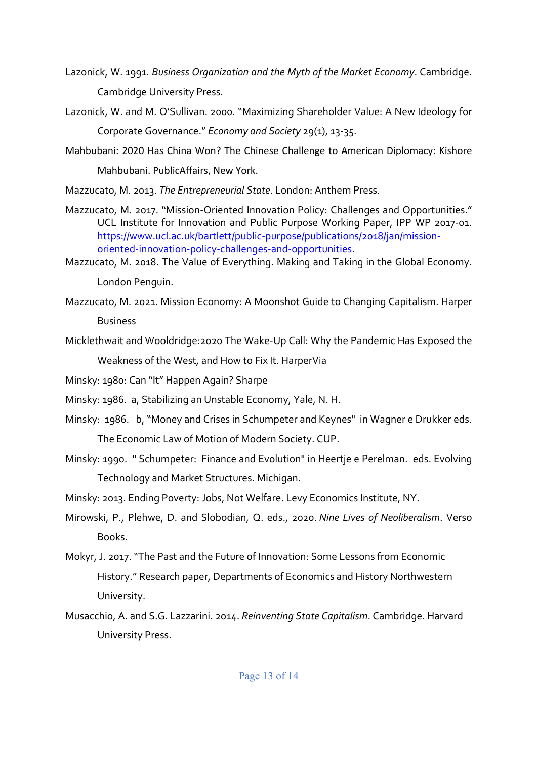- Lazonick, W. 1991. *Business Organization and the Myth of the Market Economy*. Cambridge. Cambridge University Press.
- Lazonick, W. and M. O'Sullivan. 2000. "Maximizing Shareholder Value: A New Ideology for Corporate Governance." *Economy and Society* 29(1), 13-35.
- Mahbubani: 2020 Has China Won? The Chinese Challenge to American Diplomacy: Kishore Mahbubani. PublicAffairs, New York.
- Mazzucato, M. 2013. *The Entrepreneurial State*. London: Anthem Press.
- Mazzucato, M. 2017. "Mission-Oriented Innovation Policy: Challenges and Opportunities." UCL Institute for Innovation and Public Purpose Working Paper, IPP WP 2017-01. https://www.ucl.ac.uk/bartlett/public-purpose/publications/2018/jan/missionoriented-innovation-policy-challenges-and-opportunities.
- Mazzucato, M. 2018. The Value of Everything. Making and Taking in the Global Economy. London Penguin.
- Mazzucato, M. 2021. Mission Economy: A Moonshot Guide to Changing Capitalism. Harper **Business**
- Micklethwait and Wooldridge:2020 The Wake-Up Call: Why the Pandemic Has Exposed the Weakness of the West, and How to Fix It. HarperVia
- Minsky: 1980: Can "It" Happen Again? Sharpe
- Minsky: 1986. a, Stabilizing an Unstable Economy, Yale, N. H.
- Minsky: 1986. b, "Money and Crises in Schumpeter and Keynes" in Wagner e Drukker eds. The Economic Law of Motion of Modern Society. CUP.
- Minsky: 1990. " Schumpeter: Finance and Evolution" in Heertje e Perelman. eds. Evolving Technology and Market Structures. Michigan.
- Minsky: 2013. Ending Poverty: Jobs, Not Welfare. Levy Economics Institute, NY.
- Mirowski, P., Plehwe, D. and Slobodian, Q. eds., 2020. *Nine Lives of Neoliberalism*. Verso Books.
- Mokyr, J. 2017. "The Past and the Future of Innovation: Some Lessons from Economic History." Research paper, Departments of Economics and History Northwestern University.
- Musacchio, A. and S.G. Lazzarini. 2014. *Reinventing State Capitalism*. Cambridge. Harvard University Press.